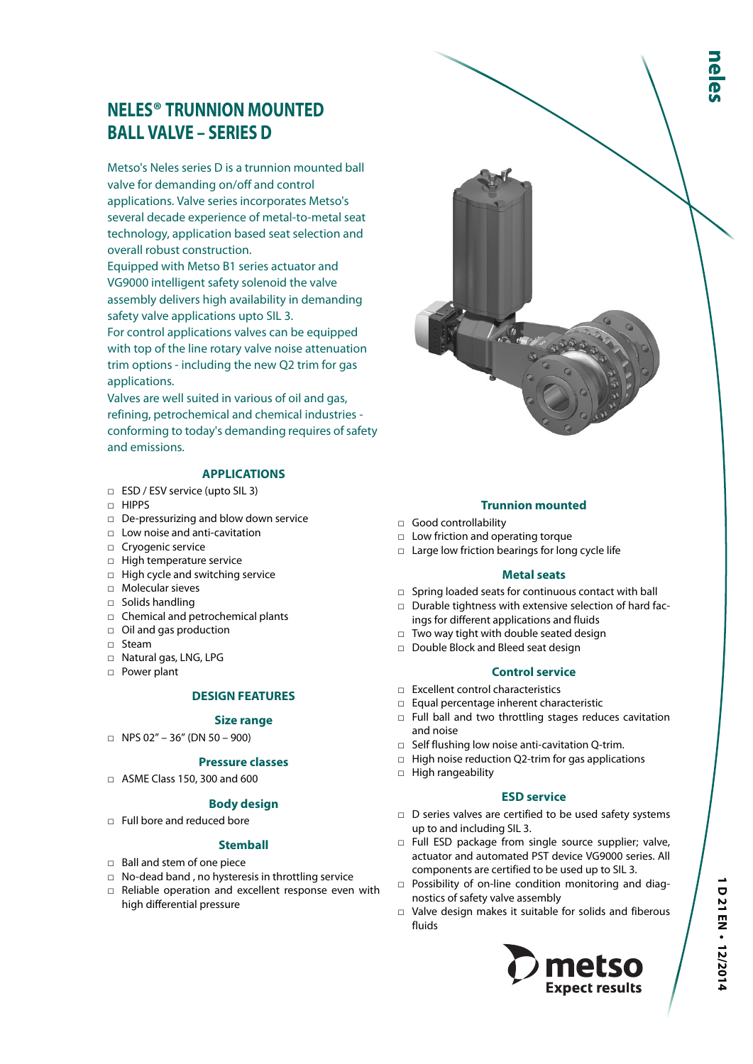# **NELES® TRUNNION MOUNTED BALL VALVE – SERIES D**

Metso's Neles series D is a trunnion mounted ball valve for demanding on/off and control applications. Valve series incorporates Metso's several decade experience of metal-to-metal seat technology, application based seat selection and overall robust construction.

Equipped with Metso B1 series actuator and VG9000 intelligent safety solenoid the valve assembly delivers high availability in demanding safety valve applications upto SIL 3.

For control applications valves can be equipped with top of the line rotary valve noise attenuation trim options - including the new Q2 trim for gas applications.

Valves are well suited in various of oil and gas, refining, petrochemical and chemical industries conforming to today's demanding requires of safety and emissions.

## **APPLICATIONS**

- □ ESD / ESV service (upto SIL 3)
- □ HIPPS
- □ De-pressurizing and blow down service
- □ Low noise and anti-cavitation
- □ Cryogenic service
- □ High temperature service
- □ High cycle and switching service
- □ Molecular sieves
- □ Solids handling
- □ Chemical and petrochemical plants
- □ Oil and gas production
- □ Steam
- □ Natural gas, LNG, LPG
- □ Power plant

#### **DESIGN FEATURES**

#### **Size range**

 $\Box$  NPS 02" – 36" (DN 50 – 900)

## **Pressure classes**

□ ASME Class 150, 300 and 600

## **Body design**

□ Full bore and reduced bore

## **Stemball**

- □ Ball and stem of one piece
- □ No-dead band , no hysteresis in throttling service
- □ Reliable operation and excellent response even with high differential pressure

## **Trunnion mounted**

- □ Good controllability
- □ Low friction and operating torque
- □ Large low friction bearings for long cycle life

#### **Metal seats**

- □ Spring loaded seats for continuous contact with ball
- □ Durable tightness with extensive selection of hard facings for different applications and fluids
- □ Two way tight with double seated design
- □ Double Block and Bleed seat design

#### **Control service**

- □ Excellent control characteristics
- □ Equal percentage inherent characteristic
- □ Full ball and two throttling stages reduces cavitation and noise
- $\Box$  Self flushing low noise anti-cavitation Q-trim.
- $\Box$  High noise reduction Q2-trim for gas applications
- □ High rangeability

#### **ESD service**

- $\Box$  D series valves are certified to be used safety systems up to and including SIL 3.
- □ Full ESD package from single source supplier; valve, actuator and automated PST device VG9000 series. All components are certified to be used up to SIL 3.
- □ Possibility of on-line condition monitoring and diagnostics of safety valve assembly
- □ Valve design makes it suitable for solids and fiberous fluids

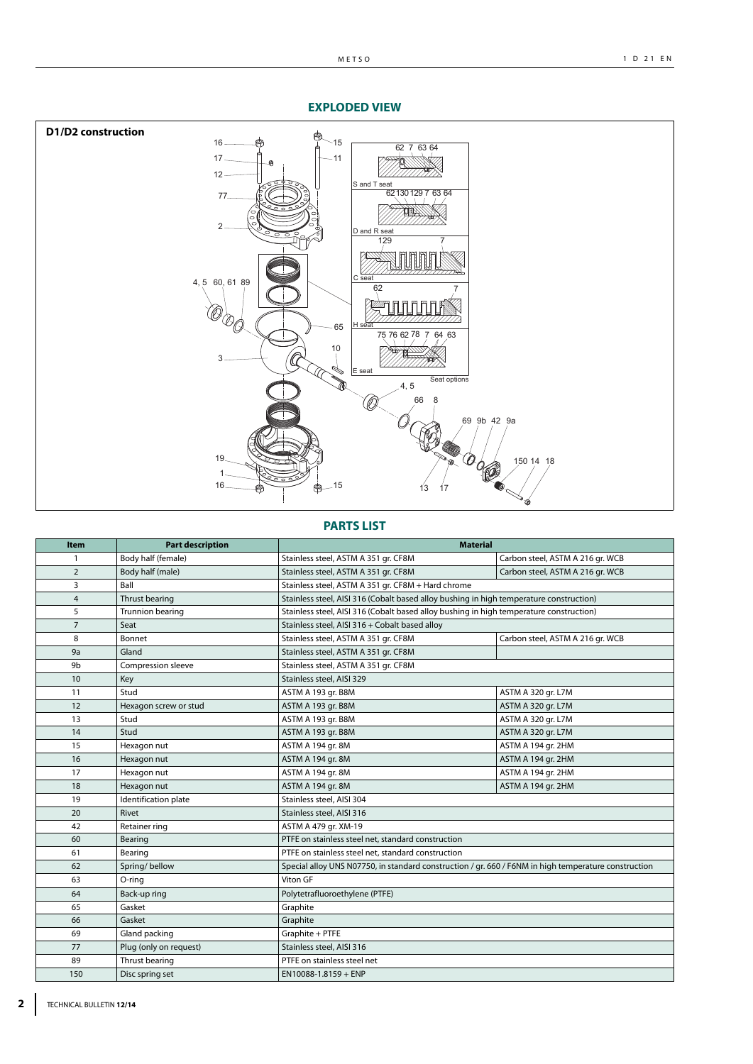### **EXPLODED VIEW**



## **PARTS LIST**

| <b>Item</b>    | <b>Part description</b> | <b>Material</b>                                                                                      |                                  |
|----------------|-------------------------|------------------------------------------------------------------------------------------------------|----------------------------------|
| 1              | Body half (female)      | Stainless steel, ASTM A 351 gr. CF8M                                                                 | Carbon steel, ASTM A 216 gr. WCB |
| $\overline{2}$ | Body half (male)        | Stainless steel, ASTM A 351 gr. CF8M                                                                 | Carbon steel, ASTM A 216 gr. WCB |
| 3              | Ball                    | Stainless steel, ASTM A 351 gr. CF8M + Hard chrome                                                   |                                  |
| $\overline{4}$ | Thrust bearing          | Stainless steel, AISI 316 (Cobalt based alloy bushing in high temperature construction)              |                                  |
| 5              | Trunnion bearing        | Stainless steel, AISI 316 (Cobalt based alloy bushing in high temperature construction)              |                                  |
| $\overline{7}$ | Seat                    | Stainless steel, AISI 316 + Cobalt based alloy                                                       |                                  |
| 8              | <b>Bonnet</b>           | Stainless steel, ASTM A 351 gr. CF8M                                                                 | Carbon steel, ASTM A 216 gr. WCB |
| 9a             | Gland                   | Stainless steel, ASTM A 351 gr. CF8M                                                                 |                                  |
| 9b             | Compression sleeve      | Stainless steel, ASTM A 351 gr. CF8M                                                                 |                                  |
| 10             | Key                     | Stainless steel, AISI 329                                                                            |                                  |
| 11             | Stud                    | ASTM A 193 gr. B8M                                                                                   | ASTM A 320 gr. L7M               |
| 12             | Hexagon screw or stud   | ASTM A 193 gr. B8M                                                                                   | ASTM A 320 gr. L7M               |
| 13             | Stud                    | ASTM A 193 gr. B8M                                                                                   | ASTM A 320 gr. L7M               |
| 14             | Stud                    | ASTM A 193 gr. B8M                                                                                   | ASTM A 320 gr. L7M               |
| 15             | Hexagon nut             | ASTM A 194 gr. 8M                                                                                    | ASTM A 194 gr. 2HM               |
| 16             | Hexagon nut             | ASTM A 194 gr. 8M                                                                                    | ASTM A 194 gr. 2HM               |
| 17             | Hexagon nut             | ASTM A 194 gr. 8M                                                                                    | ASTM A 194 gr. 2HM               |
| 18             | Hexagon nut             | ASTM A 194 gr. 8M                                                                                    | ASTM A 194 gr. 2HM               |
| 19             | Identification plate    | Stainless steel, AISI 304                                                                            |                                  |
| 20             | Rivet                   | Stainless steel, AISI 316                                                                            |                                  |
| 42             | Retainer ring           | ASTM A 479 gr. XM-19                                                                                 |                                  |
| 60             | Bearing                 | PTFE on stainless steel net, standard construction                                                   |                                  |
| 61             | Bearing                 | PTFE on stainless steel net, standard construction                                                   |                                  |
| 62             | Spring/bellow           | Special alloy UNS N07750, in standard construction / gr. 660 / F6NM in high temperature construction |                                  |
| 63             | O-ring                  | Viton GF                                                                                             |                                  |
| 64             | Back-up ring            | Polytetrafluoroethylene (PTFE)                                                                       |                                  |
| 65             | Gasket                  | Graphite                                                                                             |                                  |
| 66             | Gasket                  | Graphite                                                                                             |                                  |
| 69             | Gland packing           | Graphite + PTFE                                                                                      |                                  |
| 77             | Plug (only on request)  | Stainless steel, AISI 316                                                                            |                                  |
| 89             | Thrust bearing          | PTFE on stainless steel net                                                                          |                                  |
| 150            | Disc spring set         | $EN10088-1.8159 + ENP$                                                                               |                                  |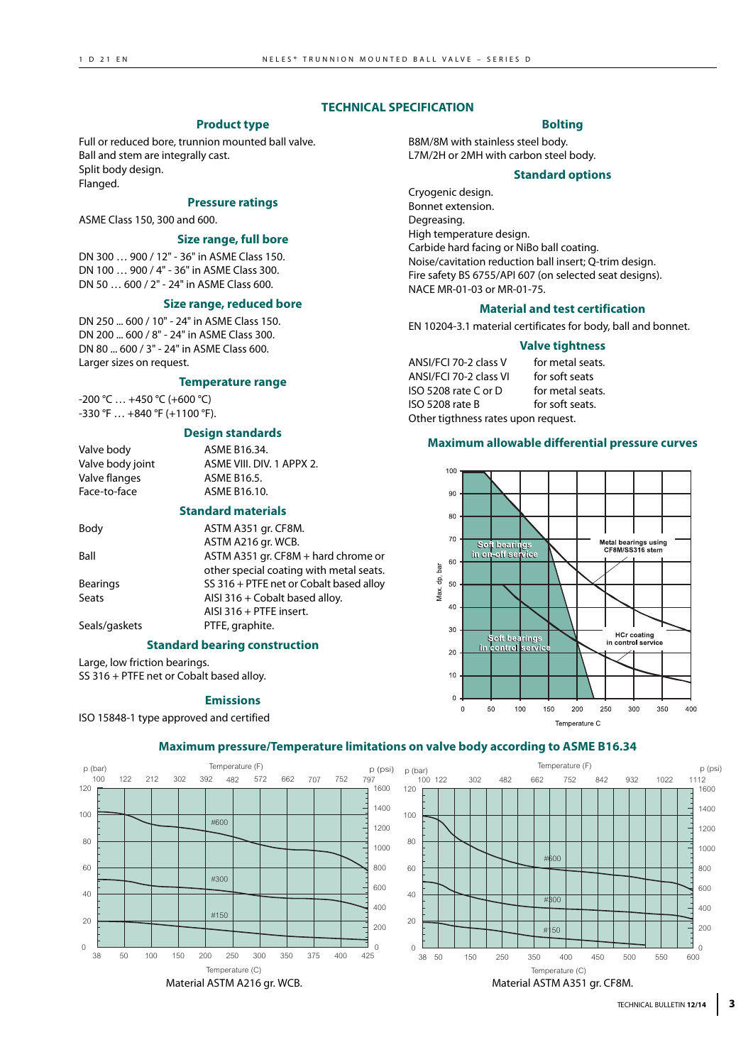### **TECHNICAL SPECIFICATION**

## **Product type**

Full or reduced bore, trunnion mounted ball valve. Ball and stem are integrally cast. Split body design. Flanged.

## **Pressure ratings**

ASME Class 150, 300 and 600.

#### **Size range, full bore**

DN 300 … 900 / 12" - 36" in ASME Class 150. DN 100 … 900 / 4" - 36" in ASME Class 300. DN 50 … 600 / 2" - 24" in ASME Class 600.

#### **Size range, reduced bore**

DN 250 ... 600 / 10" - 24" in ASME Class 150. DN 200 ... 600 / 8" - 24" in ASME Class 300. DN 80 ... 600 / 3" - 24" in ASME Class 600. Larger sizes on request.

#### **Temperature range**

-200 °C … +450 °C (+600 °C) -330 °F … +840 °F (+1100 °F).

#### **Design standards**

| Valve body       | ASME B16.34.              |
|------------------|---------------------------|
| Valve body joint | ASME VIII, DIV, 1 APPX 2. |
| Valve flanges    | ASME B16.5.               |
| Face-to-face     | ASME B16.10.              |

#### **Standard materials**

| Body            | ASTM A351 gr. CF8M.                     |
|-----------------|-----------------------------------------|
|                 | ASTM A216 gr. WCB.                      |
| Ball            | ASTM A351 gr. CF8M + hard chrome or     |
|                 | other special coating with metal seats. |
| <b>Bearings</b> | SS 316 + PTFE net or Cobalt based alloy |
| Seats           | AISI 316 + Cobalt based alloy.          |
|                 | AISI 316 + PTFE insert.                 |
| Seals/gaskets   | PTFE, graphite.                         |
|                 |                                         |

#### **Standard bearing construction**

Large, low friction bearings. SS 316 + PTFE net or Cobalt based alloy.

#### **Emissions**

ISO 15848-1 type approved and certified

## **Bolting**

B8M/8M with stainless steel body. L7M/2H or 2MH with carbon steel body.

#### **Standard options**

Cryogenic design. Bonnet extension. Degreasing. High temperature design. Carbide hard facing or NiBo ball coating. Noise/cavitation reduction ball insert; Q-trim design. Fire safety BS 6755/API 607 (on selected seat designs). NACE MR-01-03 or MR-01-75.

#### **Material and test certification**

EN 10204-3.1 material certificates for body, ball and bonnet.

#### **Valve tightness**

ANSI/FCI 70-2 class V for metal seats. ANSI/FCI 70-2 class VI for soft seats ISO 5208 rate C or D for metal seats. ISO 5208 rate B for soft seats. Other tigthness rates upon request.

### **Maximum allowable differential pressure curves**



## **Maximum pressure/Temperature limitations on valve body according to ASME B16.34**



TECHNICAL BULLETIN **12/14 3**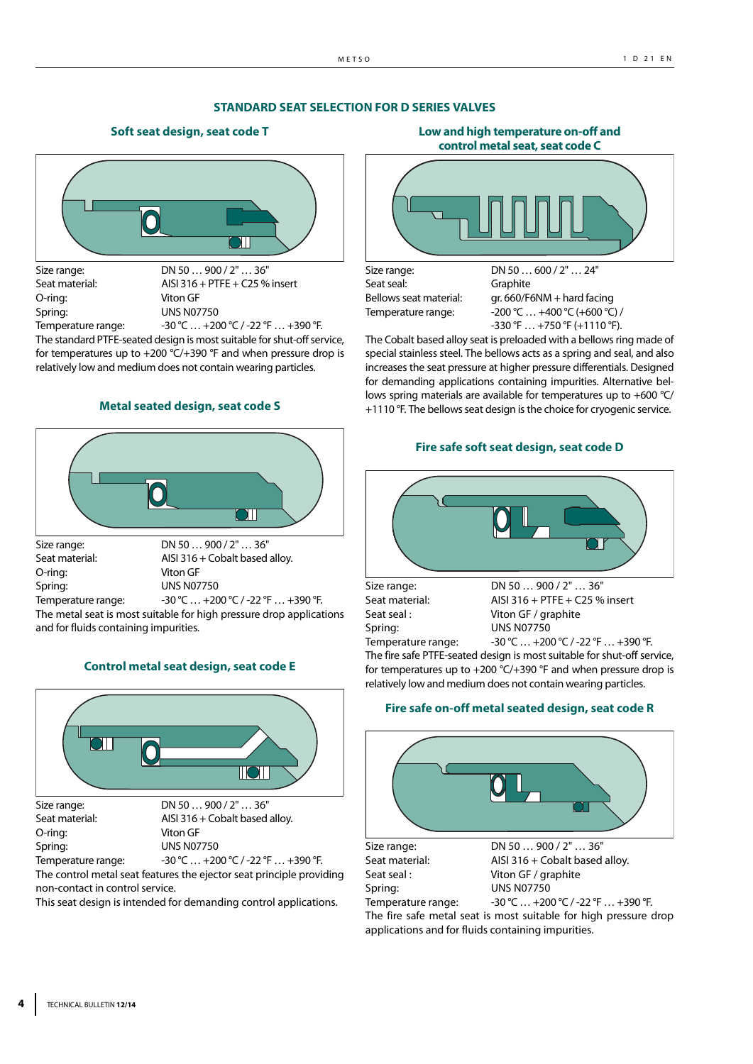## **STANDARD SEAT SELECTION FOR D SERIES VALVES**

### **Soft seat design, seat code T**



Size range: DN 50 ... 900 / 2" ... 36" Seat material: AISI 316 + PTFE + C25 % insert O-ring: Viton GF Spring: UNS N07750

Temperature range:  $-30 \degree C ... + 200 \degree C / -22 \degree F ... + 390 \degree F$ . The standard PTFE-seated design is most suitable for shut-off service, for temperatures up to  $+200$  °C/ $+390$  °F and when pressure drop is relatively low and medium does not contain wearing particles.

## **Metal seated design, seat code S**



O-ring: Viton GF Spring: UNS N07750

Seat material: AISI 316 + Cobalt based alloy. Temperature range:  $-30 °C ... +200 °C / -22 °F ... +390 °F.$ 

The metal seat is most suitable for high pressure drop applications and for fluids containing impurities.

## **Control metal seat design, seat code E**



non-contact in control service.

This seat design is intended for demanding control applications.

**control metal seat, seat code C** 

**Low and high temperature on-off and**

Seat seal: Graphite

Size range: DN 50 ... 600 / 2" ... 24" Bellows seat material: gr. 660/F6NM + hard facing Temperature range:  $-200 \degree C \dots + 400 \degree C + 600 \degree C$  $-330$  °F  $\ldots$  +750 °F (+1110 °F).

The Cobalt based alloy seat is preloaded with a bellows ring made of special stainless steel. The bellows acts as a spring and seal, and also increases the seat pressure at higher pressure differentials. Designed for demanding applications containing impurities. Alternative bellows spring materials are available for temperatures up to +600 °C/ +1110 °F. The bellows seat design is the choice for cryogenic service.

#### **Fire safe soft seat design, seat code D**



Spring: UNS N07750

Seat seal : Viton GF / graphite Temperature range:  $-30$  °C ... +200 °C / -22 °F ... +390 °F.

The fire safe PTFE-seated design is most suitable for shut-off service, for temperatures up to +200 °C/+390 °F and when pressure drop is relatively low and medium does not contain wearing particles.

#### **Fire safe on-off metal seated design, seat code R**



Temperature range: 30 °C ... +200 °C / -22 °F ... +390 °F.

The fire safe metal seat is most suitable for high pressure drop applications and for fluids containing impurities.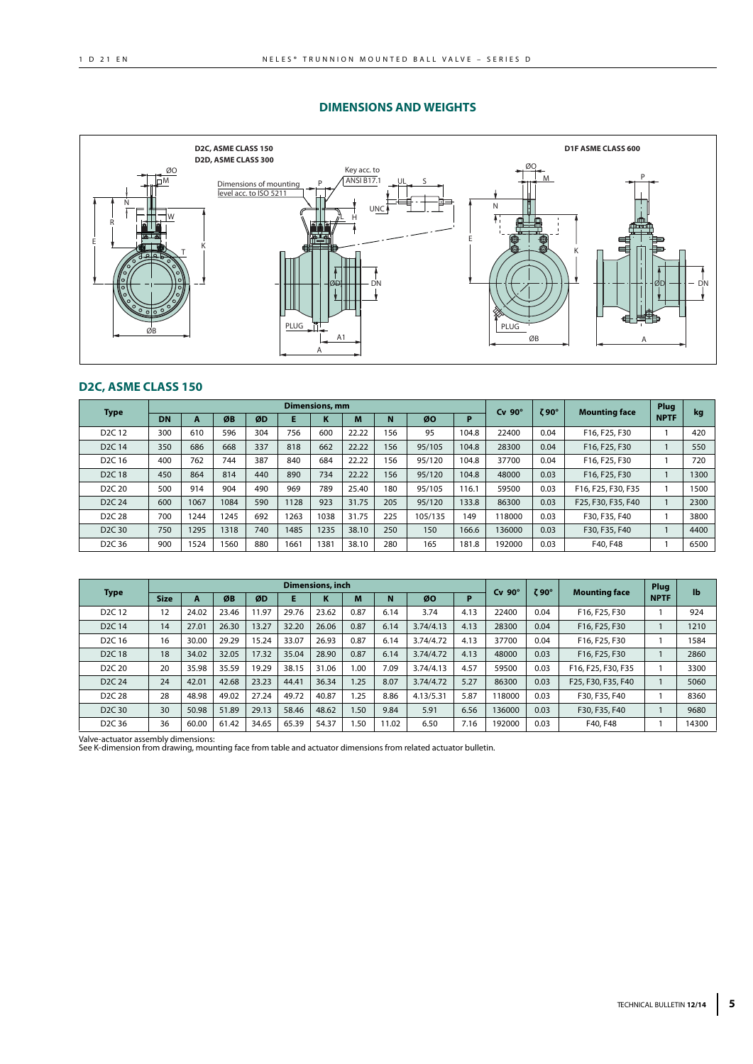#### **DIMENSIONS AND WEIGHTS**



## **D2C, ASME CLASS 150**

| <b>Type</b>                    | <b>Dimensions, mm</b> |      |      |     |      |      | $Cv$ 90 $^{\circ}$ | $\zeta$ 90° | <b>Mounting face</b> | Plug  | kg     |      |                    |             |      |
|--------------------------------|-----------------------|------|------|-----|------|------|--------------------|-------------|----------------------|-------|--------|------|--------------------|-------------|------|
|                                | DN                    | A    | ØB   | ØD  |      | N    | M                  | N           | ØO                   | P     |        |      |                    | <b>NPTF</b> |      |
| D <sub>2</sub> C <sub>12</sub> | 300                   | 610  | 596  | 304 | 756  | 600  | 22.22              | 156         | 95                   | 104.8 | 22400  | 0.04 | F16, F25, F30      |             | 420  |
| D <sub>2</sub> C <sub>14</sub> | 350                   | 686  | 668  | 337 | 818  | 662  | 22.22              | 156         | 95/105               | 104.8 | 28300  | 0.04 | F16, F25, F30      |             | 550  |
| D <sub>2</sub> C <sub>16</sub> | 400                   | 762  | 744  | 387 | 840  | 684  | 22.22              | 156         | 95/120               | 104.8 | 37700  | 0.04 | F16, F25, F30      |             | 720  |
| D <sub>2</sub> C <sub>18</sub> | 450                   | 864  | 814  | 440 | 890  | 734  | 22.22              | 156         | 95/120               | 104.8 | 48000  | 0.03 | F16, F25, F30      |             | 1300 |
| D <sub>2</sub> C <sub>20</sub> | 500                   | 914  | 904  | 490 | 969  | 789  | 25.40              | 180         | 95/105               | 116.1 | 59500  | 0.03 | F16, F25, F30, F35 |             | 1500 |
| D <sub>2</sub> C <sub>24</sub> | 600                   | 1067 | 1084 | 590 | 1128 | 923  | 31.75              | 205         | 95/120               | 133.8 | 86300  | 0.03 | F25, F30, F35, F40 |             | 2300 |
| D <sub>2</sub> C <sub>28</sub> | 700                   | 1244 | 1245 | 692 | 1263 | 1038 | 31.75              | 225         | 105/135              | 149   | 118000 | 0.03 | F30, F35, F40      |             | 3800 |
| D <sub>2</sub> C <sub>30</sub> | 750                   | 1295 | 1318 | 740 | 1485 | 1235 | 38.10              | 250         | 150                  | 166.6 | 136000 | 0.03 | F30, F35, F40      |             | 4400 |
| D <sub>2</sub> C <sub>36</sub> | 900                   | 1524 | 1560 | 880 | 1661 | 1381 | 38.10              | 280         | 165                  | 181.8 | 192000 | 0.03 | F40, F48           |             | 6500 |

|                                |             |       |       |       |       | Dimensions, inch  |      |       |           |      | $Cv$ 90 $^{\circ}$ | 90° Z |                      | Plug        | $\mathbf{I}$ |
|--------------------------------|-------------|-------|-------|-------|-------|-------------------|------|-------|-----------|------|--------------------|-------|----------------------|-------------|--------------|
| <b>Type</b>                    | <b>Size</b> | A     | ØB    | ØD    | Е     | $\mathbf{r}$<br>N | M    | N     | ØO        | P    |                    |       | <b>Mounting face</b> | <b>NPTF</b> |              |
| D <sub>2</sub> C <sub>12</sub> | 12          | 24.02 | 23.46 | 1.97  | 29.76 | 23.62             | 0.87 | 6.14  | 3.74      | 4.13 | 22400              | 0.04  | F16, F25, F30        |             | 924          |
| D <sub>2</sub> C <sub>14</sub> | 14          | 27.01 | 26.30 | 13.27 | 32.20 | 26.06             | 0.87 | 6.14  | 3.74/4.13 | 4.13 | 28300              | 0.04  | F16, F25, F30        |             | 1210         |
| D <sub>2</sub> C 16            | 16          | 30.00 | 29.29 | 5.24  | 33.07 | 26.93             | 0.87 | 6.14  | 3.74/4.72 | 4.13 | 37700              | 0.04  | F16, F25, F30        |             | 1584         |
| D <sub>2</sub> C <sub>18</sub> | 18          | 34.02 | 32.05 | 17.32 | 35.04 | 28.90             | 0.87 | 6.14  | 3.74/4.72 | 4.13 | 48000              | 0.03  | F16, F25, F30        |             | 2860         |
| D <sub>2</sub> C <sub>20</sub> | 20          | 35.98 | 35.59 | 19.29 | 38.15 | 31.06             | 1.00 | 7.09  | 3.74/4.13 | 4.57 | 59500              | 0.03  | F16, F25, F30, F35   |             | 3300         |
| D <sub>2</sub> C <sub>24</sub> | 24          | 42.01 | 42.68 | 23.23 | 44.41 | 36.34             | 1.25 | 8.07  | 3.74/4.72 | 5.27 | 86300              | 0.03  | F25, F30, F35, F40   |             | 5060         |
| D <sub>2</sub> C <sub>28</sub> | 28          | 48.98 | 49.02 | 27.24 | 49.72 | 40.87             | 1.25 | 8.86  | 4.13/5.31 | 5.87 | 118000             | 0.03  | F30, F35, F40        |             | 8360         |
| D <sub>2</sub> C <sub>30</sub> | 30          | 50.98 | 51.89 | 29.13 | 58.46 | 48.62             | 1.50 | 9.84  | 5.91      | 6.56 | 136000             | 0.03  | F30, F35, F40        |             | 9680         |
| D <sub>2</sub> C <sub>36</sub> | 36          | 60.00 | 61.42 | 34.65 | 65.39 | 54.37             | 1.50 | 11.02 | 6.50      | 7.16 | 192000             | 0.03  | F40, F48             |             | 14300        |

Valve-actuator assembly dimensions: See K-dimension from drawing, mounting face from table and actuator dimensions from related actuator bulletin.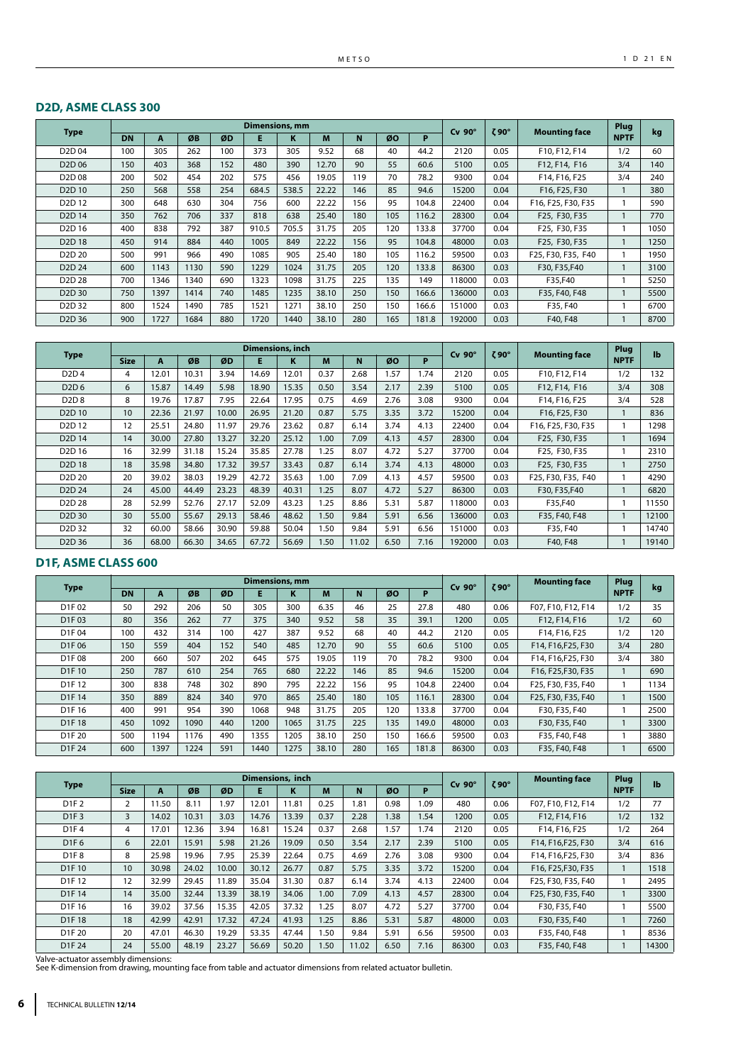## **D2D, ASME CLASS 300**

|                                |           |      |      |     | <b>Dimensions, mm</b> |       |       |     |     |       | $Cv$ 90 $^{\circ}$ | $\zeta$ 90° | <b>Mounting face</b> | Plug        | kg   |
|--------------------------------|-----------|------|------|-----|-----------------------|-------|-------|-----|-----|-------|--------------------|-------------|----------------------|-------------|------|
| <b>Type</b>                    | <b>DN</b> | A    | ØB   | ØD  | Е                     | κ     | M     | N   | ØO  | P     |                    |             |                      | <b>NPTF</b> |      |
| D <sub>2</sub> D <sub>04</sub> | 100       | 305  | 262  | 100 | 373                   | 305   | 9.52  | 68  | 40  | 44.2  | 2120               | 0.05        | F10, F12, F14        | 1/2         | 60   |
| D <sub>2</sub> D <sub>06</sub> | 150       | 403  | 368  | 152 | 480                   | 390   | 12.70 | 90  | 55  | 60.6  | 5100               | 0.05        | F12, F14, F16        | 3/4         | 140  |
| D <sub>2</sub> D <sub>08</sub> | 200       | 502  | 454  | 202 | 575                   | 456   | 19.05 | 119 | 70  | 78.2  | 9300               | 0.04        | F14, F16, F25        | 3/4         | 240  |
| D <sub>2</sub> D <sub>10</sub> | 250       | 568  | 558  | 254 | 684.5                 | 538.5 | 22.22 | 146 | 85  | 94.6  | 15200              | 0.04        | F16, F25, F30        |             | 380  |
| D <sub>2</sub> D <sub>12</sub> | 300       | 648  | 630  | 304 | 756                   | 600   | 22.22 | 156 | 95  | 104.8 | 22400              | 0.04        | F16, F25, F30, F35   |             | 590  |
| D <sub>2</sub> D <sub>14</sub> | 350       | 762  | 706  | 337 | 818                   | 638   | 25.40 | 180 | 105 | 116.2 | 28300              | 0.04        | F25, F30, F35        |             | 770  |
| D <sub>2</sub> D <sub>16</sub> | 400       | 838  | 792  | 387 | 910.5                 | 705.5 | 31.75 | 205 | 120 | 133.8 | 37700              | 0.04        | F25, F30, F35        |             | 1050 |
| D <sub>2</sub> D <sub>18</sub> | 450       | 914  | 884  | 440 | 1005                  | 849   | 22.22 | 156 | 95  | 104.8 | 48000              | 0.03        | F25, F30, F35        |             | 1250 |
| D <sub>2</sub> D <sub>20</sub> | 500       | 991  | 966  | 490 | 1085                  | 905   | 25.40 | 180 | 105 | 116.2 | 59500              | 0.03        | F25, F30, F35, F40   |             | 1950 |
| D <sub>2</sub> D <sub>24</sub> | 600       | 1143 | 1130 | 590 | 1229                  | 1024  | 31.75 | 205 | 120 | 133.8 | 86300              | 0.03        | F30, F35, F40        |             | 3100 |
| D <sub>2</sub> D <sub>28</sub> | 700       | 1346 | 1340 | 690 | 1323                  | 1098  | 31.75 | 225 | 135 | 149   | 118000             | 0.03        | F35,F40              |             | 5250 |
| D <sub>2</sub> D <sub>30</sub> | 750       | 1397 | 1414 | 740 | 1485                  | 1235  | 38.10 | 250 | 150 | 166.6 | 136000             | 0.03        | F35, F40, F48        |             | 5500 |
| D <sub>2</sub> D <sub>32</sub> | 800       | 1524 | 1490 | 785 | 1521                  | 1271  | 38.10 | 250 | 150 | 166.6 | 151000             | 0.03        | F35, F40             |             | 6700 |
| D <sub>2</sub> D <sub>36</sub> | 900       | 1727 | 1684 | 880 | 1720                  | 1440  | 38.10 | 280 | 165 | 181.8 | 192000             | 0.03        | F40, F48             |             | 8700 |

|                                |                  |       |       |       | <b>Dimensions, inch</b> |       |      |       |      |      | $Cv$ 90 $^{\circ}$ | $\zeta$ 90° | <b>Mounting face</b> | Plug        | $\mathbf{I}$ |
|--------------------------------|------------------|-------|-------|-------|-------------------------|-------|------|-------|------|------|--------------------|-------------|----------------------|-------------|--------------|
| <b>Type</b>                    | <b>Size</b>      | A     | ØB    | ØD    | Е                       | ĸ     | M    | N     | ØO   | P    |                    |             |                      | <b>NPTF</b> |              |
| D <sub>2</sub> D <sub>4</sub>  | 4                | 12.01 | 10.31 | 3.94  | 14.69                   | 12.01 | 0.37 | 2.68  | 1.57 | 1.74 | 2120               | 0.05        | F10, F12, F14        | 1/2         | 132          |
| D <sub>2</sub> D <sub>6</sub>  | 6                | 15.87 | 14.49 | 5.98  | 18.90                   | 15.35 | 0.50 | 3.54  | 2.17 | 2.39 | 5100               | 0.05        | F12, F14, F16        | 3/4         | 308          |
| D <sub>2</sub> D <sub>8</sub>  | 8                | 19.76 | 17.87 | 7.95  | 22.64                   | 17.95 | 0.75 | 4.69  | 2.76 | 3.08 | 9300               | 0.04        | F14, F16, F25        | 3/4         | 528          |
| D <sub>2</sub> D <sub>10</sub> | 10 <sup>10</sup> | 22.36 | 21.97 | 10.00 | 26.95                   | 21.20 | 0.87 | 5.75  | 3.35 | 3.72 | 15200              | 0.04        | F16, F25, F30        |             | 836          |
| D <sub>2</sub> D <sub>12</sub> | 12               | 25.51 | 24.80 | 11.97 | 29.76                   | 23.62 | 0.87 | 6.14  | 3.74 | 4.13 | 22400              | 0.04        | F16, F25, F30, F35   |             | 1298         |
| D <sub>2</sub> D <sub>14</sub> | 14               | 30.00 | 27.80 | 13.27 | 32.20                   | 25.12 | 1.00 | 7.09  | 4.13 | 4.57 | 28300              | 0.04        | F25, F30, F35        |             | 1694         |
| D <sub>2</sub> D <sub>16</sub> | 16               | 32.99 | 31.18 | 15.24 | 35.85                   | 27.78 | 1.25 | 8.07  | 4.72 | 5.27 | 37700              | 0.04        | F25, F30, F35        |             | 2310         |
| D <sub>2</sub> D <sub>18</sub> | 18               | 35.98 | 34.80 | 17.32 | 39.57                   | 33.43 | 0.87 | 6.14  | 3.74 | 4.13 | 48000              | 0.03        | F25, F30, F35        |             | 2750         |
| D <sub>2</sub> D <sub>20</sub> | 20               | 39.02 | 38.03 | 19.29 | 42.72                   | 35.63 | 1.00 | 7.09  | 4.13 | 4.57 | 59500              | 0.03        | F25, F30, F35, F40   |             | 4290         |
| D <sub>2</sub> D <sub>24</sub> | 24               | 45.00 | 44.49 | 23.23 | 48.39                   | 40.31 | 1.25 | 8.07  | 4.72 | 5.27 | 86300              | 0.03        | F30, F35, F40        |             | 6820         |
| D <sub>2</sub> D <sub>28</sub> | 28               | 52.99 | 52.76 | 27.17 | 52.09                   | 43.23 | 1.25 | 8.86  | 5.31 | 5.87 | 118000             | 0.03        | F35,F40              |             | 11550        |
| D <sub>2</sub> D <sub>30</sub> | 30               | 55.00 | 55.67 | 29.13 | 58.46                   | 48.62 | 1.50 | 9.84  | 5.91 | 6.56 | 136000             | 0.03        | F35, F40, F48        |             | 12100        |
| D <sub>2</sub> D <sub>32</sub> | 32               | 60.00 | 58.66 | 30.90 | 59.88                   | 50.04 | 1.50 | 9.84  | 5.91 | 6.56 | 151000             | 0.03        | F35, F40             |             | 14740        |
| D <sub>2</sub> D <sub>36</sub> | 36               | 68.00 | 66.30 | 34.65 | 67.72                   | 56.69 | 1.50 | 11.02 | 6.50 | 7.16 | 192000             | 0.03        | F40, F48             |             | 19140        |

## **D1F, ASME CLASS 600**

|                                |           | <b>Dimensions, mm</b> |      |     |      |      |       |     |     |       | $Cv$ 90 $^{\circ}$ | ζ90° | <b>Mounting face</b> | Plug        | kg   |
|--------------------------------|-----------|-----------------------|------|-----|------|------|-------|-----|-----|-------|--------------------|------|----------------------|-------------|------|
| <b>Type</b>                    | <b>DN</b> | A                     | ØB   | ØD  | E    | ĸ    | M     | N   | ØO  | P     |                    |      |                      | <b>NPTF</b> |      |
| D1F02                          | 50        | 292                   | 206  | 50  | 305  | 300  | 6.35  | 46  | 25  | 27.8  | 480                | 0.06 | F07, F10, F12, F14   | 1/2         | 35   |
| D1F03                          | 80        | 356                   | 262  | 77  | 375  | 340  | 9.52  | 58  | 35  | 39.1  | 1200               | 0.05 | F12, F14, F16        | 1/2         | 60   |
| D1F04                          | 100       | 432                   | 314  | 100 | 427  | 387  | 9.52  | 68  | 40  | 44.2  | 2120               | 0.05 | F14, F16, F25        | 1/2         | 120  |
| D1F06                          | 150       | 559                   | 404  | 152 | 540  | 485  | 12.70 | 90  | 55  | 60.6  | 5100               | 0.05 | F14, F16, F25, F30   | 3/4         | 280  |
| D1F08                          | 200       | 660                   | 507  | 202 | 645  | 575  | 19.05 | 119 | 70  | 78.2  | 9300               | 0.04 | F14, F16, F25, F30   | 3/4         | 380  |
| D <sub>1</sub> F <sub>10</sub> | 250       | 787                   | 610  | 254 | 765  | 680  | 22.22 | 146 | 85  | 94.6  | 15200              | 0.04 | F16, F25, F30, F35   |             | 690  |
| D1F12                          | 300       | 838                   | 748  | 302 | 890  | 795  | 22.22 | 156 | 95  | 104.8 | 22400              | 0.04 | F25, F30, F35, F40   |             | 1134 |
| D1F14                          | 350       | 889                   | 824  | 340 | 970  | 865  | 25.40 | 180 | 105 | 116.1 | 28300              | 0.04 | F25, F30, F35, F40   |             | 1500 |
| D1F16                          | 400       | 991                   | 954  | 390 | 1068 | 948  | 31.75 | 205 | 120 | 133.8 | 37700              | 0.04 | F30, F35, F40        |             | 2500 |
| D1F18                          | 450       | 1092                  | 1090 | 440 | 1200 | 1065 | 31.75 | 225 | 135 | 149.0 | 48000              | 0.03 | F30, F35, F40        |             | 3300 |
| D1F 20                         | 500       | 1194                  | 1176 | 490 | 1355 | 1205 | 38.10 | 250 | 150 | 166.6 | 59500              | 0.03 | F35, F40, F48        |             | 3880 |
| D1F 24                         | 600       | 1397                  | 1224 | 591 | 1440 | 1275 | 38.10 | 280 | 165 | 181.8 | 86300              | 0.03 | F35, F40, F48        |             | 6500 |

|                                |             |       |       |       | Dimensions, inch |       |      |       |      |      | $Cv$ 90 $^{\circ}$ | ζ90° | <b>Mounting face</b> | Plug        | $\mathbf{I}$ |
|--------------------------------|-------------|-------|-------|-------|------------------|-------|------|-------|------|------|--------------------|------|----------------------|-------------|--------------|
| <b>Type</b>                    | <b>Size</b> | A     | ØB    | ØD    | E                | K     | M    | N     | ØO   | P    |                    |      |                      | <b>NPTF</b> |              |
| D1F2                           | 2           | 11.50 | 8.11  | . 97  | 12.01            | 11.81 | 0.25 | 1.81  | 0.98 | 1.09 | 480                | 0.06 | F07, F10, F12, F14   | 1/2         | 77           |
| D <sub>1</sub> F <sub>3</sub>  | 3           | 14.02 | 10.31 | 3.03  | 14.76            | 13.39 | 0.37 | 2.28  | 1.38 | 1.54 | 1200               | 0.05 | F12, F14, F16        | 1/2         | 132          |
| D <sub>1</sub> F <sub>4</sub>  | 4           | 17.01 | 12.36 | 3.94  | 16.81            | 15.24 | 0.37 | 2.68  | 1.57 | 1.74 | 2120               | 0.05 | F14, F16, F25        | 1/2         | 264          |
| D <sub>1</sub> F <sub>6</sub>  | 6           | 22.01 | 15.91 | 5.98  | 21.26            | 19.09 | 0.50 | 3.54  | 2.17 | 2.39 | 5100               | 0.05 | F14, F16, F25, F30   | 3/4         | 616          |
| D1F8                           | 8           | 25.98 | 19.96 | 7.95  | 25.39            | 22.64 | 0.75 | 4.69  | 2.76 | 3.08 | 9300               | 0.04 | F14, F16, F25, F30   | 3/4         | 836          |
| D <sub>1</sub> F <sub>10</sub> | 10          | 30.98 | 24.02 | 10.00 | 30.12            | 26.77 | 0.87 | 5.75  | 3.35 | 3.72 | 15200              | 0.04 | F16, F25, F30, F35   |             | 1518         |
| D1F12                          | 12          | 32.99 | 29.45 | 11.89 | 35.04            | 31.30 | 0.87 | 6.14  | 3.74 | 4.13 | 22400              | 0.04 | F25, F30, F35, F40   |             | 2495         |
| D1F14                          | 14          | 35.00 | 32.44 | 13.39 | 38.19            | 34.06 | 1.00 | 7.09  | 4.13 | 4.57 | 28300              | 0.04 | F25, F30, F35, F40   |             | 3300         |
| D1F16                          | 16          | 39.02 | 37.56 | 15.35 | 42.05            | 37.32 | 1.25 | 8.07  | 4.72 | 5.27 | 37700              | 0.04 | F30, F35, F40        |             | 5500         |
| D1F18                          | 18          | 42.99 | 42.91 | 17.32 | 47.24            | 41.93 | 1.25 | 8.86  | 5.31 | 5.87 | 48000              | 0.03 | F30, F35, F40        |             | 7260         |
| D1F 20                         | 20          | 47.01 | 46.30 | 19.29 | 53.35            | 47.44 | 1.50 | 9.84  | 5.91 | 6.56 | 59500              | 0.03 | F35, F40, F48        |             | 8536         |
| D1F 24                         | 24          | 55.00 | 48.19 | 23.27 | 56.69            | 50.20 | 1.50 | 11.02 | 6.50 | 7.16 | 86300              | 0.03 | F35, F40, F48        |             | 14300        |

Valve-actuator assembly dimensions: See K-dimension from drawing, mounting face from table and actuator dimensions from related actuator bulletin.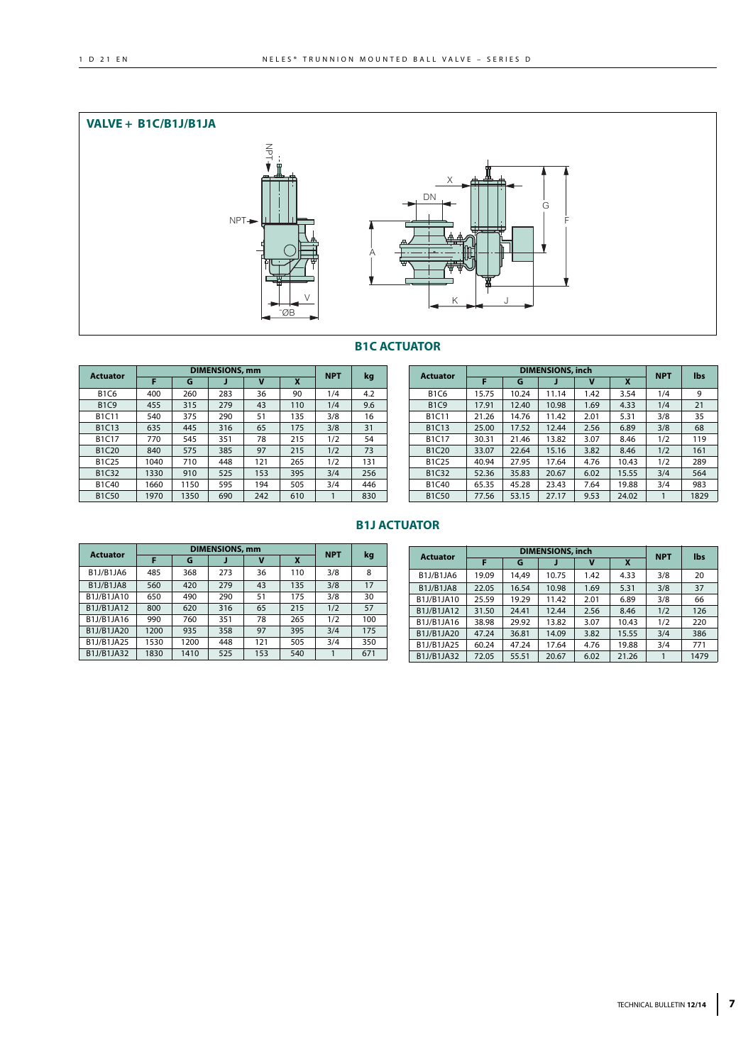

## **B1C ACTUATOR**

| <b>Actuator</b>                |      |      | <b>DIMENSIONS, mm</b> |     |     | <b>NPT</b> | kg  |  |
|--------------------------------|------|------|-----------------------|-----|-----|------------|-----|--|
|                                | F    | G    | J                     | v   | X   |            |     |  |
| <b>B1C6</b>                    | 400  | 260  | 283                   | 36  | 90  | 1/4        | 4.2 |  |
| <b>B1C9</b>                    | 455  | 315  | 279                   | 43  | 110 | 1/4        | 9.6 |  |
| <b>B1C11</b>                   | 540  | 375  | 290                   | 51  | 135 | 3/8        | 16  |  |
| B <sub>1</sub> C <sub>13</sub> | 635  | 445  | 316                   | 65  | 175 | 3/8        | 31  |  |
| <b>B1C17</b>                   | 770  | 545  | 351                   | 78  | 215 | 1/2        | 54  |  |
| B <sub>1</sub> C <sub>20</sub> | 840  | 575  | 385                   | 97  | 215 | 1/2        | 73  |  |
| B1C25                          | 1040 | 710  | 448                   | 121 | 265 | 1/2        | 131 |  |
| B <sub>1</sub> C <sub>32</sub> | 1330 | 910  | 525                   | 153 | 395 | 3/4        | 256 |  |
| B1C40                          | 1660 | 1150 | 595                   | 194 | 505 | 3/4        | 446 |  |
| <b>B1C50</b>                   | 1970 | 1350 | 690                   | 242 | 610 |            | 830 |  |

| <b>Actuator</b>                |       |       | <b>DIMENSIONS, inch</b> |      |       | <b>NPT</b> | lbs  |
|--------------------------------|-------|-------|-------------------------|------|-------|------------|------|
|                                | F     | G     |                         | v    | X     |            |      |
| <b>B1C6</b>                    | 15.75 | 10.24 | 11.14                   | 1.42 | 3.54  | 1/4        | 9    |
| <b>B1C9</b>                    | 17.91 | 12.40 | 10.98                   | 1.69 | 4.33  | 1/4        | 21   |
| <b>B1C11</b>                   | 21.26 | 14.76 | 11.42                   | 2.01 | 5.31  | 3/8        | 35   |
| B1C13                          | 25.00 | 17.52 | 12.44                   | 2.56 | 6.89  | 3/8        | 68   |
| <b>B1C17</b>                   | 30.31 | 21.46 | 13.82                   | 3.07 | 8.46  | 1/2        | 119  |
| <b>B1C20</b>                   | 33.07 | 22.64 | 15.16                   | 3.82 | 8.46  | 1/2        | 161  |
| B1C25                          | 40.94 | 27.95 | 17.64                   | 4.76 | 10.43 | 1/2        | 289  |
| B1C32                          | 52.36 | 35.83 | 20.67                   | 6.02 | 15.55 | 3/4        | 564  |
| B <sub>1</sub> C <sub>40</sub> | 65.35 | 45.28 | 23.43                   | 7.64 | 19.88 | 3/4        | 983  |
| <b>B1C50</b>                   | 77.56 | 53.15 | 27.17                   | 9.53 | 24.02 | 1          | 1829 |

## **B1J ACTUATOR**

| <b>Actuator</b>                                 |      |      | <b>DIMENSIONS, mm</b> |     |     | <b>NPT</b> |     |
|-------------------------------------------------|------|------|-----------------------|-----|-----|------------|-----|
|                                                 | F    | G    |                       | ν   | X   |            | kg  |
| B <sub>1</sub> J/B <sub>1</sub> JA <sub>6</sub> | 485  | 368  | 273                   | 36  | 110 | 3/8        | 8   |
| B1J/B1JA8                                       | 560  | 420  | 279                   | 43  | 135 | 3/8        | 17  |
| B1J/B1JA10                                      | 650  | 490  | 290                   | 51  | 175 | 3/8        | 30  |
| B1J/B1JA12                                      | 800  | 620  | 316                   | 65  | 215 | 1/2        | 57  |
| B1J/B1JA16                                      | 990  | 760  | 351                   | 78  | 265 | 1/2        | 100 |
| B1J/B1JA20                                      | 1200 | 935  | 358                   | 97  | 395 | 3/4        | 175 |
| B1J/B1JA25                                      | 1530 | 1200 | 448                   | 121 | 505 | 3/4        | 350 |
| B1J/B1JA32                                      | 1830 | 1410 | 525                   | 153 | 540 |            | 671 |

| <b>Actuator</b>                                 |       | <b>DIMENSIONS, inch</b> | <b>NPT</b> | lbs  |       |     |      |
|-------------------------------------------------|-------|-------------------------|------------|------|-------|-----|------|
|                                                 | F     | G                       |            | v    | X     |     |      |
| B <sub>1</sub> J/B <sub>1</sub> JA6             | 19.09 | 14.49                   | 10.75      | 1.42 | 4.33  | 3/8 | 20   |
| B <sub>1</sub> J/B <sub>1</sub> JA <sub>8</sub> | 22.05 | 16.54                   | 10.98      | 1.69 | 5.31  | 3/8 | 37   |
| B1J/B1JA10                                      | 25.59 | 19.29                   | 11.42      | 2.01 | 6.89  | 3/8 | 66   |
| B1J/B1JA12                                      | 31.50 | 24.41                   | 12.44      | 2.56 | 8.46  | 1/2 | 126  |
| B1J/B1JA16                                      | 38.98 | 29.92                   | 13.82      | 3.07 | 10.43 | 1/2 | 220  |
| B1J/B1JA20                                      | 47.24 | 36.81                   | 14.09      | 3.82 | 15.55 | 3/4 | 386  |
| B1J/B1JA25                                      | 60.24 | 47.24                   | 17.64      | 4.76 | 19.88 | 3/4 | 771  |
| B1J/B1JA32                                      | 72.05 | 55.51                   | 20.67      | 6.02 | 21.26 |     | 1479 |